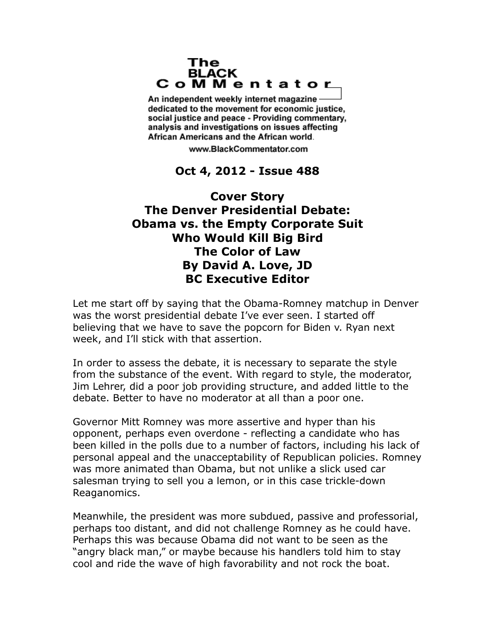## The **BLACK** CoMMentator

An independent weekly internet magazine dedicated to the movement for economic justice. social justice and peace - Providing commentary, analysis and investigations on issues affecting African Americans and the African world.

www.BlackCommentator.com

## **Oct 4, 2012 - Issue 488**

## **Cover Story The Denver Presidential Debate: Obama vs. the Empty Corporate Suit Who Would Kill Big Bird The Color of Law By David A. Love, JD BC Executive Editor**

Let me start off by saying that the Obama-Romney matchup in Denver was the worst presidential debate I've ever seen. I started off believing that we have to save the popcorn for Biden v. Ryan next week, and I'll stick with that assertion.

In order to assess the debate, it is necessary to separate the style from the substance of the event. With regard to style, the moderator, Jim Lehrer, did a poor job providing structure, and added little to the debate. Better to have no moderator at all than a poor one.

Governor Mitt Romney was more assertive and hyper than his opponent, perhaps even overdone - reflecting a candidate who has been killed in the polls due to a number of factors, including his lack of personal appeal and the unacceptability of Republican policies. Romney was more animated than Obama, but not unlike a slick used car salesman trying to sell you a lemon, or in this case trickle-down Reaganomics.

Meanwhile, the president was more subdued, passive and professorial, perhaps too distant, and did not challenge Romney as he could have. Perhaps this was because Obama did not want to be seen as the "angry black man," or maybe because his handlers told him to stay cool and ride the wave of high favorability and not rock the boat.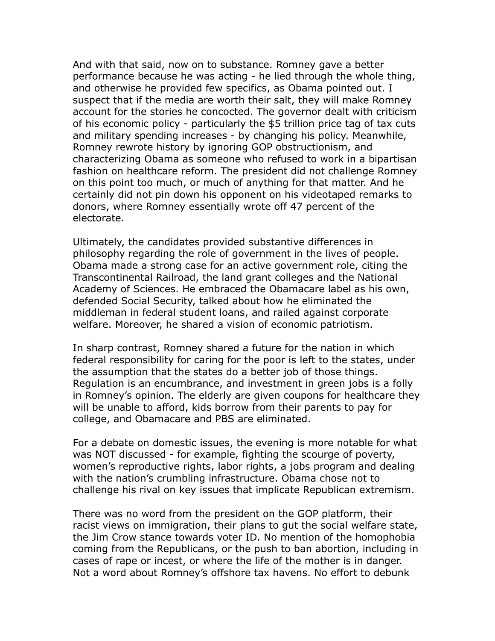And with that said, now on to substance. Romney gave a better performance because he was acting - he lied through the whole thing, and otherwise he provided few specifics, as Obama pointed out. I suspect that if the media are worth their salt, they will make Romney account for the stories he concocted. The governor dealt with criticism of his economic policy - particularly the \$5 trillion price tag of tax cuts and military spending increases - by changing his policy. Meanwhile, Romney rewrote history by ignoring GOP obstructionism, and characterizing Obama as someone who refused to work in a bipartisan fashion on healthcare reform. The president did not challenge Romney on this point too much, or much of anything for that matter. And he certainly did not pin down his opponent on his videotaped remarks to donors, where Romney essentially wrote off 47 percent of the electorate.

Ultimately, the candidates provided substantive differences in philosophy regarding the role of government in the lives of people. Obama made a strong case for an active government role, citing the Transcontinental Railroad, the land grant colleges and the National Academy of Sciences. He embraced the Obamacare label as his own, defended Social Security, talked about how he eliminated the middleman in federal student loans, and railed against corporate welfare. Moreover, he shared a vision of economic patriotism.

In sharp contrast, Romney shared a future for the nation in which federal responsibility for caring for the poor is left to the states, under the assumption that the states do a better job of those things. Regulation is an encumbrance, and investment in green jobs is a folly in Romney's opinion. The elderly are given coupons for healthcare they will be unable to afford, kids borrow from their parents to pay for college, and Obamacare and PBS are eliminated.

For a debate on domestic issues, the evening is more notable for what was NOT discussed - for example, fighting the scourge of poverty, women's reproductive rights, labor rights, a jobs program and dealing with the nation's crumbling infrastructure. Obama chose not to challenge his rival on key issues that implicate Republican extremism.

There was no word from the president on the GOP platform, their racist views on immigration, their plans to gut the social welfare state, the Jim Crow stance towards voter ID. No mention of the homophobia coming from the Republicans, or the push to ban abortion, including in cases of rape or incest, or where the life of the mother is in danger. Not a word about Romney's offshore tax havens. No effort to debunk